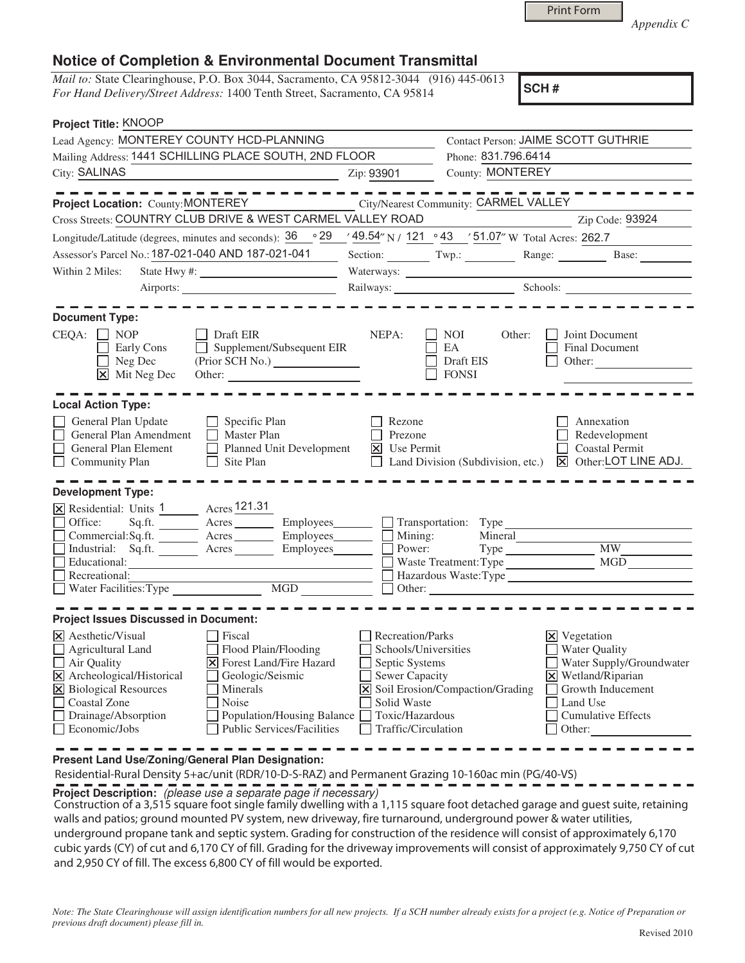| <b>Print Form</b> |
|-------------------|
|                   |

*Appendix C* 

## **Notice of Completion & Environmental Document Transmittal**

*Mail to:* State Clearinghouse, P.O. Box 3044, Sacramento, CA 95812-3044 (916) 445-0613 *For Hand Delivery/Street Address:* 1400 Tenth Street, Sacramento, CA 95814

**SCH #**

| Project Title: KNOOP                                                                                                                                                                                                                                                                                                                                                          |                                                                                                                                                     |                                                    |                                                                                                                                                                                        |
|-------------------------------------------------------------------------------------------------------------------------------------------------------------------------------------------------------------------------------------------------------------------------------------------------------------------------------------------------------------------------------|-----------------------------------------------------------------------------------------------------------------------------------------------------|----------------------------------------------------|----------------------------------------------------------------------------------------------------------------------------------------------------------------------------------------|
| Lead Agency: MONTEREY COUNTY HCD-PLANNING                                                                                                                                                                                                                                                                                                                                     |                                                                                                                                                     | Contact Person: JAIME SCOTT GUTHRIE                |                                                                                                                                                                                        |
| Mailing Address: 1441 SCHILLING PLACE SOUTH, 2ND FLOOR                                                                                                                                                                                                                                                                                                                        | Phone: 831.796.6414                                                                                                                                 |                                                    |                                                                                                                                                                                        |
| <b>City: SALINAS</b><br>the control of the control of the control of the control of                                                                                                                                                                                                                                                                                           | Zip: 93901                                                                                                                                          | County: MONTEREY                                   |                                                                                                                                                                                        |
|                                                                                                                                                                                                                                                                                                                                                                               |                                                                                                                                                     |                                                    |                                                                                                                                                                                        |
| <b>Project Location: County: MONTEREY</b>                                                                                                                                                                                                                                                                                                                                     |                                                                                                                                                     | City/Nearest Community: CARMEL VALLEY              |                                                                                                                                                                                        |
| Cross Streets: COUNTRY CLUB DRIVE & WEST CARMEL VALLEY ROAD                                                                                                                                                                                                                                                                                                                   |                                                                                                                                                     |                                                    | Zip Code: 93924                                                                                                                                                                        |
| 。29<br>Longitude/Latitude (degrees, minutes and seconds): 36                                                                                                                                                                                                                                                                                                                  |                                                                                                                                                     | ' 49.54" N / 121 .43 ' 51.07" W Total Acres: 262.7 |                                                                                                                                                                                        |
| Assessor's Parcel No.: 187-021-040 AND 187-021-041                                                                                                                                                                                                                                                                                                                            |                                                                                                                                                     |                                                    | Section: Twp.: Twp.: Range: Base:                                                                                                                                                      |
| Within 2 Miles:                                                                                                                                                                                                                                                                                                                                                               | Waterways:                                                                                                                                          |                                                    |                                                                                                                                                                                        |
|                                                                                                                                                                                                                                                                                                                                                                               |                                                                                                                                                     |                                                    | Railways: Schools: Schools:                                                                                                                                                            |
| <b>Document Type:</b><br>$CEQA: \Box NP$<br>Draft EIR<br>Supplement/Subsequent EIR<br>Early Cons<br>$\perp$<br>Neg Dec<br>(Prior SCH No.)                                                                                                                                                                                                                                     | NEPA:                                                                                                                                               | NOI 11<br>Other:<br>EA<br>Draft EIS                | Joint Document<br>Final Document<br>Other:                                                                                                                                             |
| $\mathbf{\times}$ Mit Neg Dec<br>Other:<br><b>Local Action Type:</b>                                                                                                                                                                                                                                                                                                          |                                                                                                                                                     | <b>FONSI</b>                                       |                                                                                                                                                                                        |
| General Plan Update<br>Specific Plan<br>General Plan Amendment<br>Master Plan<br>General Plan Element<br>⊓<br>Planned Unit Development<br>Site Plan<br>Community Plan<br>$\Box$<br><b>Development Type:</b>                                                                                                                                                                   | Rezone<br>Prezone<br>$\vert\overline{\mathsf{x}}\vert$ Use Permit                                                                                   |                                                    | Annexation<br>Redevelopment<br><b>Coastal Permit</b><br>Land Division (Subdivision, etc.) <b>X</b> Other:LOT LINE ADJ.                                                                 |
| X Residential: Units 1 Acres 121.31                                                                                                                                                                                                                                                                                                                                           |                                                                                                                                                     |                                                    |                                                                                                                                                                                        |
| Sq.ft. _________ Acres ___________ Employees________<br>Office:                                                                                                                                                                                                                                                                                                               |                                                                                                                                                     | $\Box$ Transportation: Type                        |                                                                                                                                                                                        |
| Commercial: $Sq$ .ft. $G$ Acres Employees Employees Mining:                                                                                                                                                                                                                                                                                                                   |                                                                                                                                                     | Mineral                                            |                                                                                                                                                                                        |
| Industrial: Sq.ft. <u>Acres</u><br>Employees <u>U</u>                                                                                                                                                                                                                                                                                                                         |                                                                                                                                                     |                                                    | <b>MW</b>                                                                                                                                                                              |
| Educational:                                                                                                                                                                                                                                                                                                                                                                  |                                                                                                                                                     | Waste Treatment: Type                              | MGD                                                                                                                                                                                    |
| Recreational:                                                                                                                                                                                                                                                                                                                                                                 |                                                                                                                                                     | Hazardous Waste: Type                              |                                                                                                                                                                                        |
|                                                                                                                                                                                                                                                                                                                                                                               |                                                                                                                                                     |                                                    |                                                                                                                                                                                        |
| <b>Project Issues Discussed in Document:</b>                                                                                                                                                                                                                                                                                                                                  |                                                                                                                                                     |                                                    |                                                                                                                                                                                        |
| <b>X</b> Aesthetic/Visual<br>Fiscal<br>Flood Plain/Flooding<br>$\Box$ Agricultural Land<br>Air Quality<br>X Forest Land/Fire Hazard<br>X Archeological/Historical<br>Geologic/Seismic<br>X Biological Resources<br>Minerals<br>Coastal Zone<br><b>Noise</b><br>Drainage/Absorption<br>Population/Housing Balance<br><b>Public Services/Facilities</b><br>$\Box$ Economic/Jobs | <b>Recreation/Parks</b><br>Schools/Universities<br>Septic Systems<br><b>Sewer Capacity</b><br>Solid Waste<br>Toxic/Hazardous<br>Traffic/Circulation | X Soil Erosion/Compaction/Grading                  | $\boxtimes$ Vegetation<br><b>Water Quality</b><br>Water Supply/Groundwater<br>$\times$ Wetland/Riparian<br>Growth Inducement<br>Land Use<br><b>Cumulative Effects</b><br>$\Box$ Other: |

**Present Land Use/Zoning/General Plan Designation:**

Residential-Rural Density 5+ac/unit (RDR/10-D-S-RAZ) and Permanent Grazing 10-160ac min (PG/40-VS)

**Project Description:** (please use a separate page if necessary)

 Construction of a 3,515 square foot single family dwelling with a 1,115 square foot detached garage and guest suite, retaining walls and patios; ground mounted PV system, new driveway, fire turnaround, underground power & water utilities, underground propane tank and septic system. Grading for construction of the residence will consist of approximately 6,170 cubic yards (CY) of cut and 6,170 CY of fill. Grading for the driveway improvements will consist of approximately 9,750 CY of cut and 2,950 CY of fill. The excess 6,800 CY of fill would be exported.

*Note: The State Clearinghouse will assign identification numbers for all new projects. If a SCH number already exists for a project (e.g. Notice of Preparation or previous draft document) please fill in.*